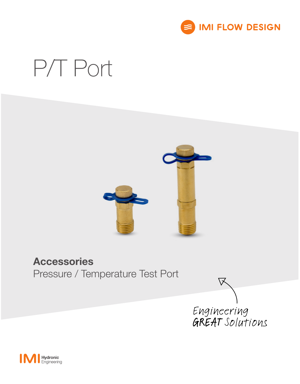

# P/T Port



### Accessories

Pressure / Temperature Test Port



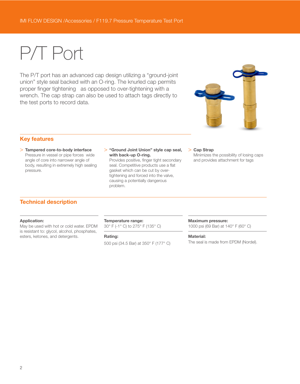## P/T Port

The P/T port has an advanced cap design utilizing a "ground-joint union" style seal backed with an O-ring. The knurled cap permits proper finger tightening as opposed to over-tightening with a wrench. The cap strap can also be used to attach tags directly to the test ports to record data.



#### Key features

- > Tampered core-to-body interface Pressure in vessel or pipe forces wide angle of core into narrower angle of body, resulting in extremely high sealing pressure.
- > "Ground Joint Union" style cap seal, with back-up O-ring.

Provides positive, finger tight secondary seal. Competitive products use a flat gasket which can be cut by overtightening and forced into the valve, causing a potentially dangerous problem.

#### > Cap Strap

Minimizes the possibility of losing caps and provides attachment for tags

#### Technical description

#### Application:

May be used with hot or cold water. EPDM is resistant to: glycol, alcohol, phosphates, esters, ketones, and detergents.

#### Temperature range:

30° F (-1° C) to 275° F (135° C)

#### Rating:

500 psi (34.5 Bar) at 350° F (177° C)

#### Maximum pressure:

1000 psi (69 Bar) at 140° F (60° C)

#### Material:

The seal is made from EPDM (Nordel).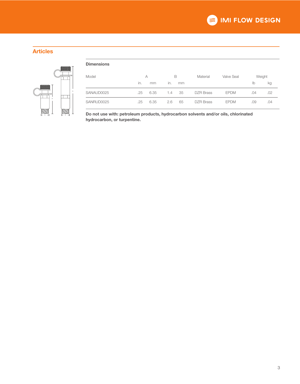#### Articles



| <b>Dimensions</b> |     |      |     |    |                  |                   |        |     |
|-------------------|-----|------|-----|----|------------------|-------------------|--------|-----|
| Model             | A   |      | B   |    | Material         | <b>Valve Seal</b> | Weight |     |
|                   | in. | mm   | in. | mm |                  |                   | lb     | kg  |
| SANAUD0025        | .25 | 6.35 | 1.4 | 35 | <b>DZR Brass</b> | <b>EPDM</b>       | .04    | .02 |
| SANRUD0025        | .25 | 6.35 | 2.6 | 65 | <b>DZR</b> Brass | <b>EPDM</b>       | .09    | .04 |

 $\mathbb{R}^4$   $\perp$   $\mathbb{R}^4$   $\perp$  Do not use with: petroleum products, hydrocarbon solvents and/or oils, chlorinated hydrocarbon, or turpentine.